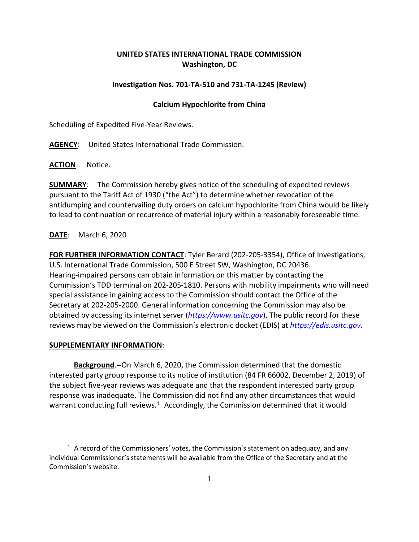# **UNITED STATES INTERNATIONAL TRADE COMMISSION Washington, DC**

## **Investigation Nos. 701-TA-510 and 731-TA-1245 (Review)**

## **Calcium Hypochlorite from China**

Scheduling of Expedited Five-Year Reviews.

**AGENCY**: United States International Trade Commission.

**ACTION**: Notice.

**SUMMARY**: The Commission hereby gives notice of the scheduling of expedited reviews pursuant to the Tariff Act of 1930 ("the Act") to determine whether revocation of the antidumping and countervailing duty orders on calcium hypochlorite from China would be likely to lead to continuation or recurrence of material injury within a reasonably foreseeable time.

## **DATE**: March 6, 2020

**FOR FURTHER INFORMATION CONTACT**: Tyler Berard (202-205-3354), Office of Investigations, U.S. International Trade Commission, 500 E Street SW, Washington, DC 20436. Hearing-impaired persons can obtain information on this matter by contacting the Commission's TDD terminal on 202-205-1810. Persons with mobility impairments who will need special assistance in gaining access to the Commission should contact the Office of the Secretary at 202-205-2000. General information concerning the Commission may also be obtained by accessing its internet server (*[https://www.usitc.gov](https://www.usitc.gov/)*). The public record for these reviews may be viewed on the Commission's electronic docket (EDIS) at *[https://edis.usitc.gov](https://edis.usitc.gov/)*.

### **SUPPLEMENTARY INFORMATION**:

**Background**.--On March 6, 2020, the Commission determined that the domestic interested party group response to its notice of institution (84 FR 66002, December 2, 2019) of the subject five-year reviews was adequate and that the respondent interested party group response was inadequate. The Commission did not find any other circumstances that would warrant conducting full reviews. $1$  Accordingly, the Commission determined that it would

<span id="page-0-0"></span> $<sup>1</sup>$  A record of the Commissioners' votes, the Commission's statement on adequacy, and any</sup> individual Commissioner's statements will be available from the Office of the Secretary and at the Commission's website.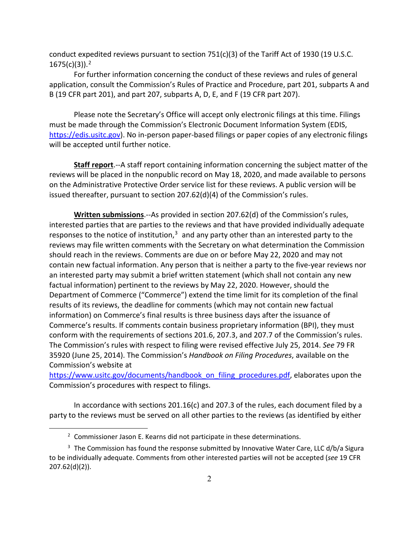conduct expedited reviews pursuant to section  $751(c)(3)$  of the Tariff Act of 1930 (19 U.S.C. 1675(c)(3)). [2](#page-1-0)

For further information concerning the conduct of these reviews and rules of general application, consult the Commission's Rules of Practice and Procedure, part 201, subparts A and B (19 CFR part 201), and part 207, subparts A, D, E, and F (19 CFR part 207).

Please note the Secretary's Office will accept only electronic filings at this time. Filings must be made through the Commission's Electronic Document Information System (EDIS, [https://edis.usitc.gov\)](https://edis.usitc.gov/). No in-person paper-based filings or paper copies of any electronic filings will be accepted until further notice.

**Staff report**.--A staff report containing information concerning the subject matter of the reviews will be placed in the nonpublic record on May 18, 2020, and made available to persons on the Administrative Protective Order service list for these reviews. A public version will be issued thereafter, pursuant to section 207.62(d)(4) of the Commission's rules.

**Written submissions**.--As provided in section 207.62(d) of the Commission's rules, interested parties that are parties to the reviews and that have provided individually adequate responses to the notice of institution, $3$  and any party other than an interested party to the reviews may file written comments with the Secretary on what determination the Commission should reach in the reviews. Comments are due on or before May 22, 2020 and may not contain new factual information. Any person that is neither a party to the five-year reviews nor an interested party may submit a brief written statement (which shall not contain any new factual information) pertinent to the reviews by May 22, 2020. However, should the Department of Commerce ("Commerce") extend the time limit for its completion of the final results of its reviews, the deadline for comments (which may not contain new factual information) on Commerce's final results is three business days after the issuance of Commerce's results. If comments contain business proprietary information (BPI), they must conform with the requirements of sections 201.6, 207.3, and 207.7 of the Commission's rules. The Commission's rules with respect to filing were revised effective July 25, 2014. *See* 79 FR 35920 (June 25, 2014). The Commission's *Handbook on Filing Procedures*, available on the Commission's website at

[https://www.usitc.gov/documents/handbook\\_on\\_filing\\_procedures.pdf,](https://www.usitc.gov/documents/handbook_on_filing_procedures.pdf) elaborates upon the Commission's procedures with respect to filings.

In accordance with sections 201.16(c) and 207.3 of the rules, each document filed by a party to the reviews must be served on all other parties to the reviews (as identified by either

 $2$  Commissioner Jason E. Kearns did not participate in these determinations.

<span id="page-1-1"></span><span id="page-1-0"></span><sup>&</sup>lt;sup>3</sup> The Commission has found the response submitted by Innovative Water Care, LLC d/b/a Sigura to be individually adequate. Comments from other interested parties will not be accepted (*see* 19 CFR 207.62(d)(2)).